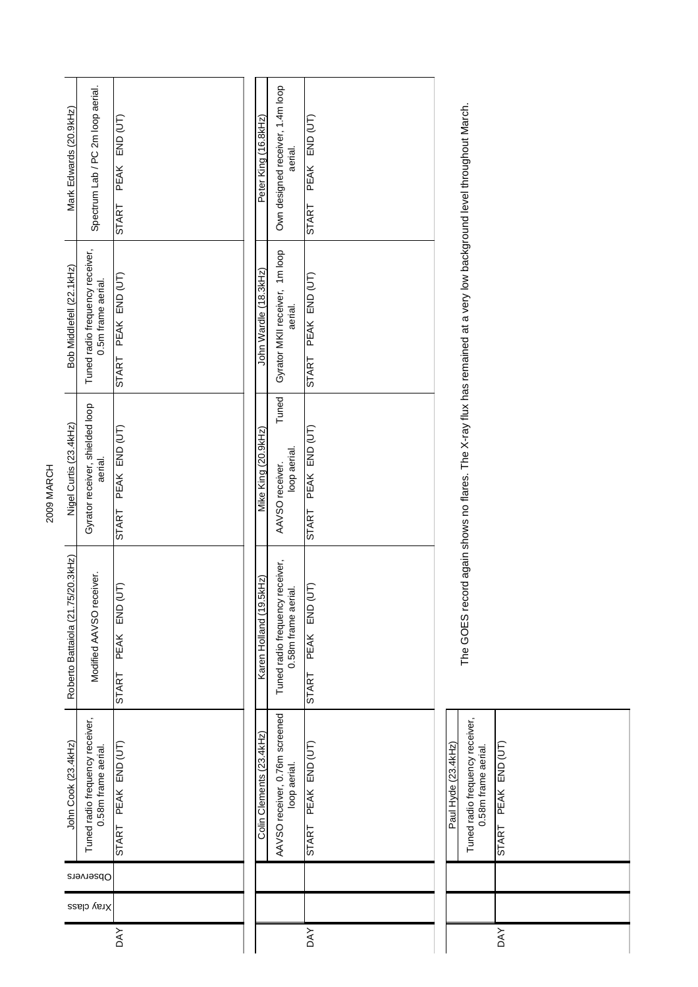| Mark Edwards (20.9kHz)            | Spectrum Lab / PC 2m loop aerial.                      | $END$ $(UT)$<br>PEAK              | Peter King (16.8kHz)     | Own designed receiver, 1.4m loop<br>aerial.            | PEAK END (UT)          |
|-----------------------------------|--------------------------------------------------------|-----------------------------------|--------------------------|--------------------------------------------------------|------------------------|
|                                   |                                                        | START                             |                          |                                                        | <b>START</b>           |
| Bob Middlefell (22.1kHz)          | Tuned radio frequency receiver,<br>0.5m frame aerial.  | PEAK END (UT)<br>START            | John Wardle (18.3kHz)    | Gyrator MKII receiver, 1m loop<br>aerial.              | START PEAK END (UT)    |
| Nigel Curtis (23.4kHz)            | Gyrator receiver, shielded loop<br>aerial.             | PEAK END (UT)<br>START            | Mike King (20.9kHz)      | Tuned<br>loop aerial.<br>AAVSO receiver.               | START PEAK END (UT)    |
| Roberto Battaiola (21.75/20.3kHz) | Modified AAVSO receiver.                               | <b>ED</b><br>END<br>PEAK<br>START | Karen Holland (19.5kHz)  | Tuned radio frequency receiver,<br>0.58m frame aerial. | (TU)<br>START PEAK END |
| John Cook (23.4kHz)               | Tuned radio frequency receiver,<br>0.58m frame aerial. | PEAK END (UT)<br><b>START</b>     | Colin Clements (23.4kHz) | AAVSO receiver, 0.76m screened<br>loop aerial.         | START PEAK END (UT)    |
|                                   | Observers                                              |                                   |                          |                                                        |                        |
|                                   | Xray class                                             |                                   |                          |                                                        |                        |
|                                   |                                                        | <b>DAY</b>                        |                          |                                                        | <b>DAY</b>             |

Tuned radio frequency receiver,<br>0.58m frame aerial. Tuned radio frequency receiver, Paul Hyde (23.4kHz) START PEAK END (UT) Paul Hyde (23.4kHz) 0.58m frame aerial. DAY START PEAK DAY<sub>1</sub>

The GOES record again shows no flares. The X-ray flux has remained at a very low background level throughout March. The GOES record again shows no flares. The X-ray flux has remained at a very low background level throughout March.

2009 MARCH